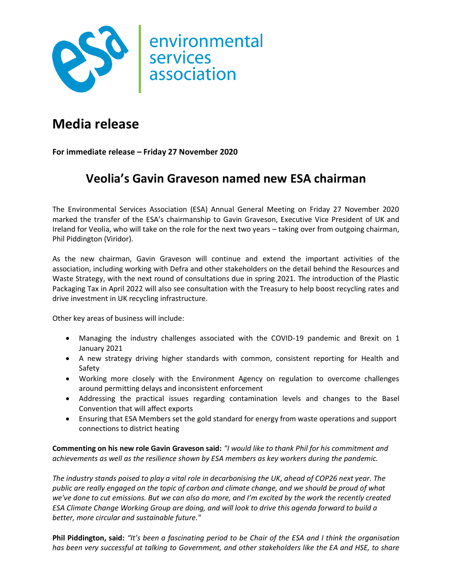

## **Media release**

**For immediate release – Friday 27 November 2020**

## **Veolia's Gavin Graveson named new ESA chairman**

The Environmental Services Association (ESA) Annual General Meeting on Friday 27 November 2020 marked the transfer of the ESA's chairmanship to Gavin Graveson, Executive Vice President of UK and Ireland for Veolia, who will take on the role for the next two years – taking over from outgoing chairman, Phil Piddington (Viridor).

As the new chairman, Gavin Graveson will continue and extend the important activities of the association, including working with Defra and other stakeholders on the detail behind the Resources and Waste Strategy, with the next round of consultations due in spring 2021. The introduction of the Plastic Packaging Tax in April 2022 will also see consultation with the Treasury to help boost recycling rates and drive investment in UK recycling infrastructure.

Other key areas of business will include:

- Managing the industry challenges associated with the COVID-19 pandemic and Brexit on 1 January 2021
- A new strategy driving higher standards with common, consistent reporting for Health and Safety
- Working more closely with the Environment Agency on regulation to overcome challenges around permitting delays and inconsistent enforcement
- Addressing the practical issues regarding contamination levels and changes to the Basel Convention that will affect exports
- Ensuring that ESA Members set the gold standard for energy from waste operations and support connections to district heating

**Commenting on his new role Gavin Graveson said:** *"I would like to thank Phil for his commitment and achievements as well as the resilience shown by ESA members as key workers during the pandemic.* 

*The industry stands poised to play a vital role in decarbonising the UK, ahead of COP26 next year. The public are really engaged on the topic of carbon and climate change, and we should be proud of what we've done to cut emissions. But we can also do more, and I'm excited by the work the recently created ESA Climate Change Working Group are doing, and will look to drive this agenda forward to build a better, more circular and sustainable future."*

**Phil Piddington, said:** *"It's been a fascinating period to be Chair of the ESA and I think the organisation has been very successful at talking to Government, and other stakeholders like the EA and HSE, to share*